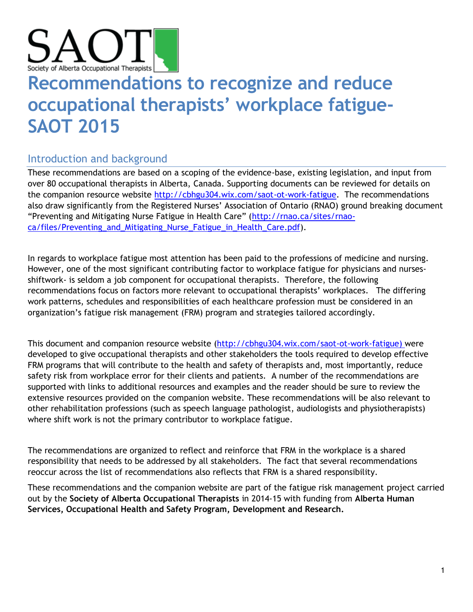

# **Recommendations to recognize and reduce occupational therapists' workplace fatigue-SAOT 2015**

## Introduction and background

These recommendations are based on a scoping of the evidence-base, existing legislation, and input from over 80 occupational therapists in Alberta, Canada. Supporting documents can be reviewed for details on the companion resource website [http://cbhgu304.wix.com/saot-ot-work-fatigue.](http://cbhgu304.wix.com/saot-ot-work-fatigue) The recommendations also draw significantly from the Registered Nurses' Association of Ontario (RNAO) ground breaking document "Preventing and Mitigating Nurse Fatigue in Health Care" ([http://rnao.ca/sites/rnao](http://rnao.ca/sites/rnao-ca/files/Preventing_and_Mitigating_Nurse_Fatigue_in_Health_Care.pdf)[ca/files/Preventing\\_and\\_Mitigating\\_Nurse\\_Fatigue\\_in\\_Health\\_Care.pdf\)](http://rnao.ca/sites/rnao-ca/files/Preventing_and_Mitigating_Nurse_Fatigue_in_Health_Care.pdf).

In regards to workplace fatigue most attention has been paid to the professions of medicine and nursing. However, one of the most significant contributing factor to workplace fatigue for physicians and nursesshiftwork- is seldom a job component for occupational therapists. Therefore, the following recommendations focus on factors more relevant to occupational therapists' workplaces. The differing work patterns, schedules and responsibilities of each healthcare profession must be considered in an organization's fatigue risk management (FRM) program and strategies tailored accordingly.

This document and companion resource website [\(http://cbhgu304.wix.com/saot-ot-work-fatigue\)](http://cbhgu304.wix.com/saot-ot-work-fatigue) were developed to give occupational therapists and other stakeholders the tools required to develop effective FRM programs that will contribute to the health and safety of therapists and, most importantly, reduce safety risk from workplace error for their clients and patients. A number of the recommendations are supported with links to additional resources and examples and the reader should be sure to review the extensive resources provided on the companion website. These recommendations will be also relevant to other rehabilitation professions (such as speech language pathologist, audiologists and physiotherapists) where shift work is not the primary contributor to workplace fatigue.

The recommendations are organized to reflect and reinforce that FRM in the workplace is a shared responsibility that needs to be addressed by all stakeholders. The fact that several recommendations reoccur across the list of recommendations also reflects that FRM is a shared responsibility.

These recommendations and the companion website are part of the fatigue risk management project carried out by the **Society of Alberta Occupational Therapists** in 2014-15 with funding from **Alberta Human Services, Occupational Health and Safety Program, Development and Research.**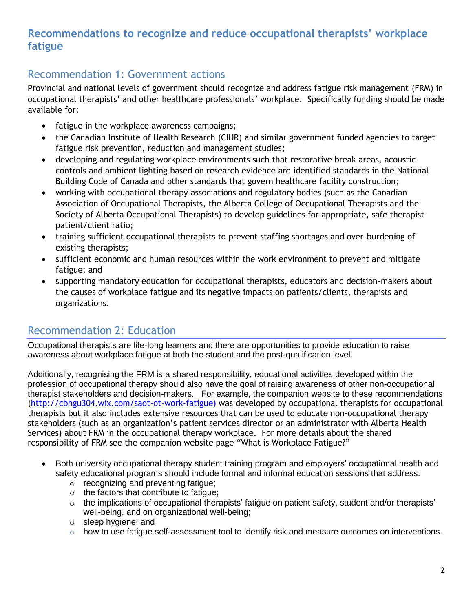### **Recommendations to recognize and reduce occupational therapists' workplace fatigue**

#### Recommendation 1: Government actions

Provincial and national levels of government should recognize and address fatigue risk management (FRM) in occupational therapists' and other healthcare professionals' workplace. Specifically funding should be made available for:

- fatigue in the workplace awareness campaigns;
- the Canadian Institute of Health Research (CIHR) and similar government funded agencies to target fatigue risk prevention, reduction and management studies;
- developing and regulating workplace environments such that restorative break areas, acoustic controls and ambient lighting based on research evidence are identified standards in the National Building Code of Canada and other standards that govern healthcare facility construction;
- working with occupational therapy associations and regulatory bodies (such as the Canadian Association of Occupational Therapists, the Alberta College of Occupational Therapists and the Society of Alberta Occupational Therapists) to develop guidelines for appropriate, safe therapistpatient/client ratio;
- training sufficient occupational therapists to prevent staffing shortages and over-burdening of existing therapists;
- sufficient economic and human resources within the work environment to prevent and mitigate fatigue; and
- supporting mandatory education for occupational therapists, educators and decision-makers about the causes of workplace fatigue and its negative impacts on patients/clients, therapists and organizations.

## Recommendation 2: Education

Occupational therapists are life-long learners and there are opportunities to provide education to raise awareness about workplace fatigue at both the student and the post-qualification level.

Additionally, recognising the FRM is a shared responsibility, educational activities developed within the profession of occupational therapy should also have the goal of raising awareness of other non-occupational therapist stakeholders and decision-makers. For example, the companion website to these recommendations [\(http://cbhgu304.wix.com/saot-ot-work-fatigue\)](http://cbhgu304.wix.com/saot-ot-work-fatigue) was developed by occupational therapists for occupational therapists but it also includes extensive resources that can be used to educate non-occupational therapy stakeholders (such as an organization's patient services director or an administrator with Alberta Health Services) about FRM in the occupational therapy workplace. For more details about the shared responsibility of FRM see the companion website page "What is Workplace Fatigue?"

- Both university occupational therapy student training program and employers' occupational health and safety educational programs should include formal and informal education sessions that address:
	- o recognizing and preventing fatigue;
	- o the factors that contribute to fatigue;
	- $\circ$  the implications of occupational therapists' fatigue on patient safety, student and/or therapists' well-being, and on organizational well-being;
	- o sleep hygiene; and
	- $\circ$  how to use fatigue self-assessment tool to identify risk and measure outcomes on interventions.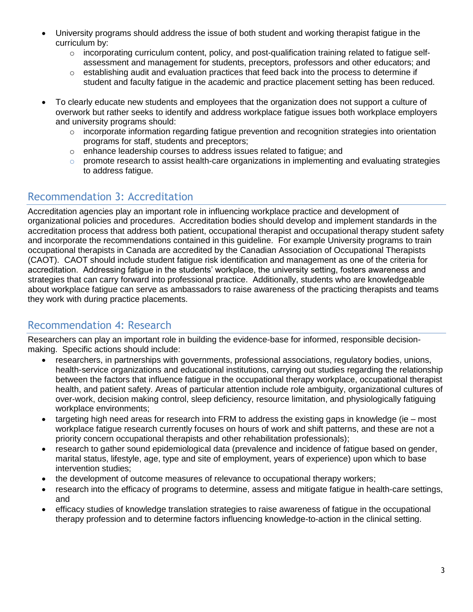- University programs should address the issue of both student and working therapist fatigue in the curriculum by:
	- $\circ$  incorporating curriculum content, policy, and post-qualification training related to fatigue selfassessment and management for students, preceptors, professors and other educators; and
	- $\circ$  establishing audit and evaluation practices that feed back into the process to determine if student and faculty fatigue in the academic and practice placement setting has been reduced.
- To clearly educate new students and employees that the organization does not support a culture of overwork but rather seeks to identify and address workplace fatigue issues both workplace employers and university programs should:
	- $\circ$  incorporate information regarding fatigue prevention and recognition strategies into orientation programs for staff, students and preceptors;
	- o enhance leadership courses to address issues related to fatigue; and
	- $\circ$  promote research to assist health-care organizations in implementing and evaluating strategies to address fatigue.

## Recommendation 3: Accreditation

Accreditation agencies play an important role in influencing workplace practice and development of organizational policies and procedures. Accreditation bodies should develop and implement standards in the accreditation process that address both patient, occupational therapist and occupational therapy student safety and incorporate the recommendations contained in this guideline. For example University programs to train occupational therapists in Canada are accredited by the Canadian Association of Occupational Therapists (CAOT). CAOT should include student fatigue risk identification and management as one of the criteria for accreditation. Addressing fatigue in the students' workplace, the university setting, fosters awareness and strategies that can carry forward into professional practice. Additionally, students who are knowledgeable about workplace fatigue can serve as ambassadors to raise awareness of the practicing therapists and teams they work with during practice placements.

#### Recommendation 4: Research

Researchers can play an important role in building the evidence-base for informed, responsible decisionmaking. Specific actions should include:

- researchers, in partnerships with governments, professional associations, regulatory bodies, unions, health-service organizations and educational institutions, carrying out studies regarding the relationship between the factors that influence fatigue in the occupational therapy workplace, occupational therapist health, and patient safety. Areas of particular attention include role ambiguity, organizational cultures of over-work, decision making control, sleep deficiency, resource limitation, and physiologically fatiguing workplace environments;
- $\bullet$  targeting high need areas for research into FRM to address the existing gaps in knowledge (ie most workplace fatigue research currently focuses on hours of work and shift patterns, and these are not a priority concern occupational therapists and other rehabilitation professionals);
- research to gather sound epidemiological data (prevalence and incidence of fatigue based on gender, marital status, lifestyle, age, type and site of employment, years of experience) upon which to base intervention studies;
- the development of outcome measures of relevance to occupational therapy workers;
- research into the efficacy of programs to determine, assess and mitigate fatigue in health-care settings, and
- efficacy studies of knowledge translation strategies to raise awareness of fatigue in the occupational therapy profession and to determine factors influencing knowledge-to-action in the clinical setting.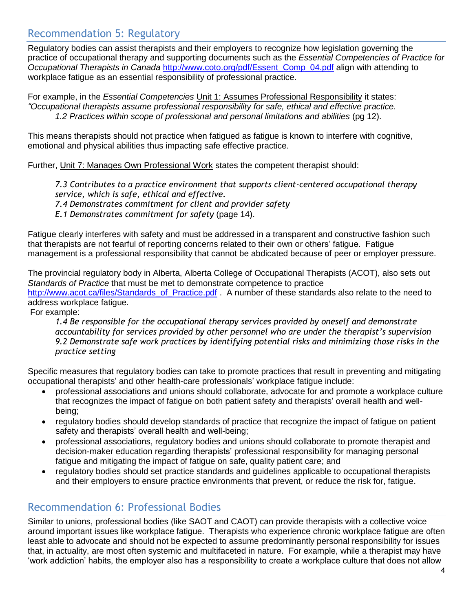#### Recommendation 5: Regulatory

Regulatory bodies can assist therapists and their employers to recognize how legislation governing the practice of occupational therapy and supporting documents such as the *Essential Competencies of Practice for Occupational Therapists in Canada* [http://www.coto.org/pdf/Essent\\_Comp\\_04.pdf](http://www.coto.org/pdf/Essent_Comp_04.pdf) align with attending to workplace fatigue as an essential responsibility of professional practice.

For example, in the *Essential Competencies* Unit 1: Assumes Professional Responsibility it states: *"Occupational therapists assume professional responsibility for safe, ethical and effective practice. 1.2 Practices within scope of professional and personal limitations and abilities* (pg 12).

This means therapists should not practice when fatigued as fatigue is known to interfere with cognitive, emotional and physical abilities thus impacting safe effective practice.

Further, Unit 7: Manages Own Professional Work states the competent therapist should:

*7.3 Contributes to a practice environment that supports client-centered occupational therapy service, which is safe, ethical and effective.*

*7.4 Demonstrates commitment for client and provider safety*

*E.1 Demonstrates commitment for safety* (page 14).

Fatigue clearly interferes with safety and must be addressed in a transparent and constructive fashion such that therapists are not fearful of reporting concerns related to their own or others' fatigue. Fatigue management is a professional responsibility that cannot be abdicated because of peer or employer pressure.

The provincial regulatory body in Alberta, Alberta College of Occupational Therapists (ACOT), also sets out *Standards of Practice* that must be met to demonstrate competence to practice [http://www.acot.ca/files/Standards\\_of\\_Practice.pdf](http://www.acot.ca/files/Standards_of_Practice.pdf) . A number of these standards also relate to the need to address workplace fatigue.

For example:

*1.4 Be responsible for the occupational therapy services provided by oneself and demonstrate accountability for services provided by other personnel who are under the therapist's supervision 9.2 Demonstrate safe work practices by identifying potential risks and minimizing those risks in the practice setting*

Specific measures that regulatory bodies can take to promote practices that result in preventing and mitigating occupational therapists' and other health-care professionals' workplace fatigue include:

- professional associations and unions should collaborate, advocate for and promote a workplace culture that recognizes the impact of fatigue on both patient safety and therapists' overall health and wellbeing;
- regulatory bodies should develop standards of practice that recognize the impact of fatigue on patient safety and therapists' overall health and well-being;
- professional associations, regulatory bodies and unions should collaborate to promote therapist and decision-maker education regarding therapists' professional responsibility for managing personal fatigue and mitigating the impact of fatigue on safe, quality patient care; and
- regulatory bodies should set practice standards and guidelines applicable to occupational therapists and their employers to ensure practice environments that prevent, or reduce the risk for, fatigue.

## Recommendation 6: Professional Bodies

Similar to unions, professional bodies (like SAOT and CAOT) can provide therapists with a collective voice around important issues like workplace fatigue. Therapists who experience chronic workplace fatigue are often least able to advocate and should not be expected to assume predominantly personal responsibility for issues that, in actuality, are most often systemic and multifaceted in nature. For example, while a therapist may have 'work addiction' habits, the employer also has a responsibility to create a workplace culture that does not allow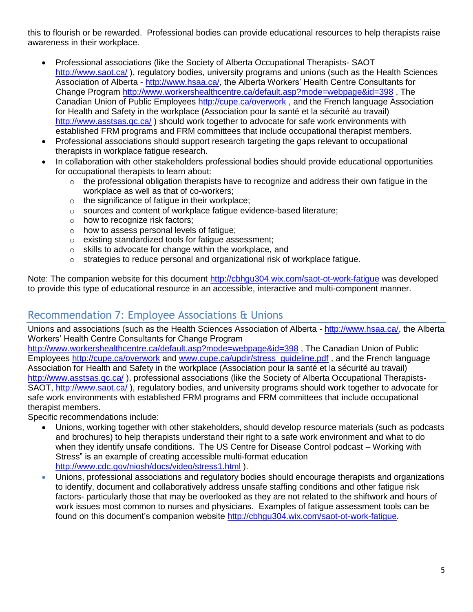this to flourish or be rewarded. Professional bodies can provide educational resources to help therapists raise awareness in their workplace.

- Professional associations (like the Society of Alberta Occupational Therapists- SAOT <http://www.saot.ca/>), regulatory bodies, university programs and unions (such as the Health Sciences Association of Alberta - [http://www.hsaa.ca/,](http://www.hsaa.ca/) the Alberta Workers' Health Centre Consultants for Change Program<http://www.workershealthcentre.ca/default.asp?mode=webpage&id=398> , The Canadian Union of Public Employees<http://cupe.ca/overwork> , and the French language Association for Health and Safety in the workplace (Association pour la santé et la sécurité au travail) <http://www.asstsas.qc.ca/> ) should work together to advocate for safe work environments with established FRM programs and FRM committees that include occupational therapist members.
- Professional associations should support research targeting the gaps relevant to occupational therapists in workplace fatigue research.
- In collaboration with other stakeholders professional bodies should provide educational opportunities for occupational therapists to learn about:
	- $\circ$  the professional obligation therapists have to recognize and address their own fatigue in the workplace as well as that of co-workers;
	- o the significance of fatigue in their workplace;
	- o sources and content of workplace fatigue evidence-based literature;
	- o how to recognize risk factors;
	- o how to assess personal levels of fatigue;
	- o existing standardized tools for fatigue assessment;
	- o skills to advocate for change within the workplace, and
	- $\circ$  strategies to reduce personal and organizational risk of workplace fatigue.

Note: The companion website for this document<http://cbhgu304.wix.com/saot-ot-work-fatigue> was developed to provide this type of educational resource in an accessible, interactive and multi-component manner.

#### Recommendation 7: Employee Associations & Unions

Unions and associations (such as the Health Sciences Association of Alberta - [http://www.hsaa.ca/,](http://www.hsaa.ca/) the Alberta Workers' Health Centre Consultants for Change Program

<http://www.workershealthcentre.ca/default.asp?mode=webpage&id=398> , The Canadian Union of Public Employees<http://cupe.ca/overwork> and [www.cupe.ca/updir/stress\\_guideline.pdf](http://www.cupe.ca/updir/stress_guideline.pdf) , and the French language Association for Health and Safety in the workplace (Association pour la santé et la sécurité au travail) <http://www.asstsas.qc.ca/>), professional associations (like the Society of Alberta Occupational Therapists-SAOT,<http://www.saot.ca/> ), regulatory bodies, and university programs should work together to advocate for safe work environments with established FRM programs and FRM committees that include occupational therapist members.

Specific recommendations include:

- Unions, working together with other stakeholders, should develop resource materials (such as podcasts and brochures) to help therapists understand their right to a safe work environment and what to do when they identify unsafe conditions. The US Centre for Disease Control podcast – Working with Stress" is an example of creating accessible multi-format education <http://www.cdc.gov/niosh/docs/video/stress1.html> ).
- Unions, professional associations and regulatory bodies should encourage therapists and organizations to identify, document and collaboratively address unsafe staffing conditions and other fatigue risk factors- particularly those that may be overlooked as they are not related to the shiftwork and hours of work issues most common to nurses and physicians. Examples of fatigue assessment tools can be found on this document's companion website [http://cbhgu304.wix.com/saot-ot-work-fatigue.](http://cbhgu304.wix.com/saot-ot-work-fatigue)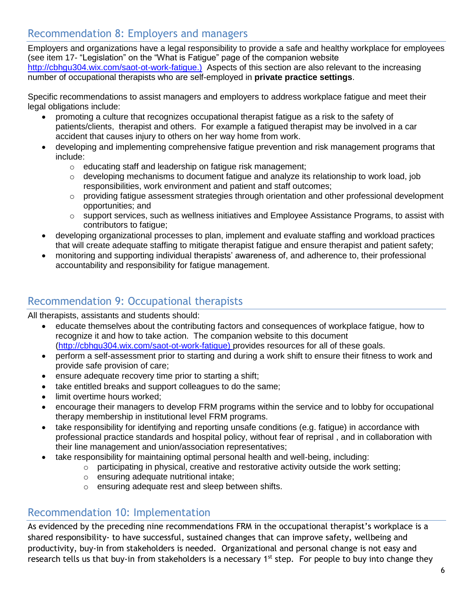## Recommendation 8: Employers and managers

Employers and organizations have a legal responsibility to provide a safe and healthy workplace for employees (see item 17- "Legislation" on the "What is Fatigue" page of the companion website [http://cbhgu304.wix.com/saot-ot-work-fatigue.](http://cbhgu304.wix.com/saot-ot-work-fatigue)) Aspects of this section are also relevant to the increasing number of occupational therapists who are self-employed in **private practice settings**.

Specific recommendations to assist managers and employers to address workplace fatigue and meet their legal obligations include:

- promoting a culture that recognizes occupational therapist fatigue as a risk to the safety of patients/clients, therapist and others. For example a fatigued therapist may be involved in a car accident that causes injury to others on her way home from work.
- developing and implementing comprehensive fatigue prevention and risk management programs that include:
	- o educating staff and leadership on fatigue risk management;
	- $\circ$  developing mechanisms to document fatigue and analyze its relationship to work load, job responsibilities, work environment and patient and staff outcomes;
	- $\circ$  providing fatigue assessment strategies through orientation and other professional development opportunities; and
	- $\circ$  support services, such as wellness initiatives and Employee Assistance Programs, to assist with contributors to fatigue;
- developing organizational processes to plan, implement and evaluate staffing and workload practices that will create adequate staffing to mitigate therapist fatigue and ensure therapist and patient safety;
- monitoring and supporting individual therapists' awareness of, and adherence to, their professional accountability and responsibility for fatigue management.

## Recommendation 9: Occupational therapists

All therapists, assistants and students should:

- educate themselves about the contributing factors and consequences of workplace fatigue, how to recognize it and how to take action. The companion website to this document [\(http://cbhgu304.wix.com/saot-ot-work-fatigue\)](http://cbhgu304.wix.com/saot-ot-work-fatigue) provides resources for all of these goals.
- perform a self-assessment prior to starting and during a work shift to ensure their fitness to work and provide safe provision of care;
- ensure adequate recovery time prior to starting a shift;
- take entitled breaks and support colleagues to do the same;
- limit overtime hours worked;
- encourage their managers to develop FRM programs within the service and to lobby for occupational therapy membership in institutional level FRM programs.
- take responsibility for identifying and reporting unsafe conditions (e.g. fatigue) in accordance with professional practice standards and hospital policy, without fear of reprisal , and in collaboration with their line management and union/association representatives;
	- take responsibility for maintaining optimal personal health and well-being, including:
		- o participating in physical, creative and restorative activity outside the work setting;
			- o ensuring adequate nutritional intake;
			- o ensuring adequate rest and sleep between shifts.

#### Recommendation 10: Implementation

As evidenced by the preceding nine recommendations FRM in the occupational therapist's workplace is a shared responsibility- to have successful, sustained changes that can improve safety, wellbeing and productivity, buy-in from stakeholders is needed. Organizational and personal change is not easy and research tells us that buy-in from stakeholders is a necessary 1<sup>st</sup> step. For people to buy into change they